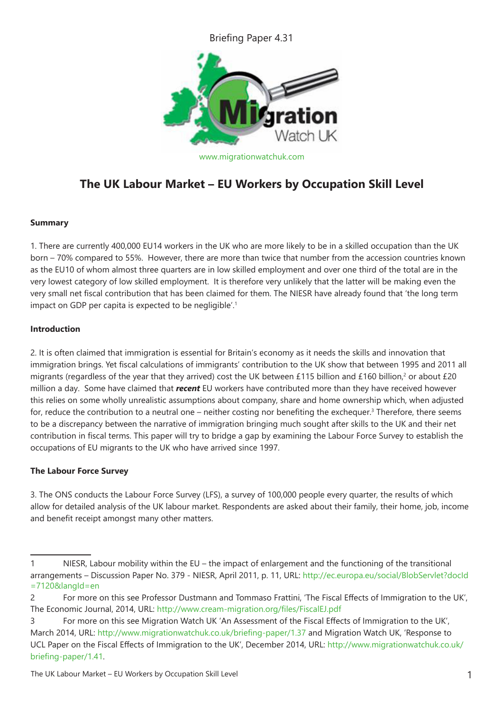Briefing Paper 4.31



# **The UK Labour Market – EU Workers by Occupation Skill Level**

# **Summary**

1. There are currently 400,000 EU14 workers in the UK who are more likely to be in a skilled occupation than the UK born – 70% compared to 55%. However, there are more than twice that number from the accession countries known as the EU10 of whom almost three quarters are in low skilled employment and over one third of the total are in the very lowest category of low skilled employment. It is therefore very unlikely that the latter will be making even the very small net fiscal contribution that has been claimed for them. The NIESR have already found that 'the long term impact on GDP per capita is expected to be negligible'.<sup>1</sup>

## **Introduction**

2. It is often claimed that immigration is essential for Britain's economy as it needs the skills and innovation that immigration brings. Yet fiscal calculations of immigrants' contribution to the UK show that between 1995 and 2011 all migrants (regardless of the year that they arrived) cost the UK between £115 billion and £160 billion,<sup>2</sup> or about £20 million a day. Some have claimed that *recent* EU workers have contributed more than they have received however this relies on some wholly unrealistic assumptions about company, share and home ownership which, when adjusted for, reduce the contribution to a neutral one – neither costing nor benefiting the exchequer.<sup>3</sup> Therefore, there seems to be a discrepancy between the narrative of immigration bringing much sought after skills to the UK and their net contribution in fiscal terms. This paper will try to bridge a gap by examining the Labour Force Survey to establish the occupations of EU migrants to the UK who have arrived since 1997.

# **The Labour Force Survey**

3. The ONS conducts the Labour Force Survey (LFS), a survey of 100,000 people every quarter, the results of which allow for detailed analysis of the UK labour market. Respondents are asked about their family, their home, job, income and benefit receipt amongst many other matters.

<sup>1</sup> NIESR, Labour mobility within the EU – the impact of enlargement and the functioning of the transitional arrangements – Discussion Paper No. 379 - NIESR, April 2011, p. 11, URL: http://ec.europa.eu/social/BlobServlet?docId =7120&langId=en

<sup>2</sup> For more on this see Professor Dustmann and Tommaso Frattini, 'The Fiscal Effects of Immigration to the UK', The Economic Journal, 2014, URL: http://www.cream-migration.org/files/FiscalEJ.pdf

<sup>3</sup> For more on this see Migration Watch UK 'An Assessment of the Fiscal Effects of Immigration to the UK', March 2014, URL: http://www.migrationwatchuk.co.uk/briefing-paper/1.37 and Migration Watch UK, 'Response to UCL Paper on the Fiscal Effects of Immigration to the UK', December 2014, URL: http://www.migrationwatchuk.co.uk/ briefing-paper/1.41.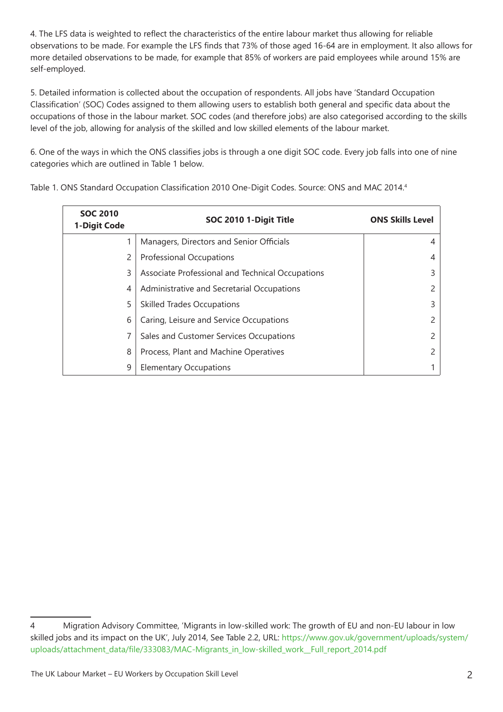4. The LFS data is weighted to reflect the characteristics of the entire labour market thus allowing for reliable observations to be made. For example the LFS finds that 73% of those aged 16-64 are in employment. It also allows for more detailed observations to be made, for example that 85% of workers are paid employees while around 15% are self-employed.

5. Detailed information is collected about the occupation of respondents. All jobs have 'Standard Occupation Classification' (SOC) Codes assigned to them allowing users to establish both general and specific data about the occupations of those in the labour market. SOC codes (and therefore jobs) are also categorised according to the skills level of the job, allowing for analysis of the skilled and low skilled elements of the labour market.

6. One of the ways in which the ONS classifies jobs is through a one digit SOC code. Every job falls into one of nine categories which are outlined in Table 1 below.

| <b>SOC 2010</b><br>1-Digit Code | SOC 2010 1-Digit Title                           | <b>ONS Skills Level</b> |
|---------------------------------|--------------------------------------------------|-------------------------|
|                                 | Managers, Directors and Senior Officials         | 4                       |
| 2                               | <b>Professional Occupations</b>                  | 4                       |
| 3                               | Associate Professional and Technical Occupations | 3                       |
| 4                               | Administrative and Secretarial Occupations       | 2                       |
| 5                               | <b>Skilled Trades Occupations</b>                | 3                       |
| 6                               | Caring, Leisure and Service Occupations          | $\mathcal{P}$           |
|                                 | Sales and Customer Services Occupations          | $\mathcal{P}$           |
| 8                               | Process, Plant and Machine Operatives            | $\mathcal{P}$           |
| 9                               | <b>Elementary Occupations</b>                    |                         |

Table 1. ONS Standard Occupation Classification 2010 One-Digit Codes. Source: ONS and MAC 2014.<sup>4</sup>

<sup>4</sup> Migration Advisory Committee, 'Migrants in low-skilled work: The growth of EU and non-EU labour in low skilled jobs and its impact on the UK', July 2014, See Table 2.2, URL: https://www.gov.uk/government/uploads/system/ uploads/attachment\_data/file/333083/MAC-Migrants\_in\_low-skilled\_work\_\_Full\_report\_2014.pdf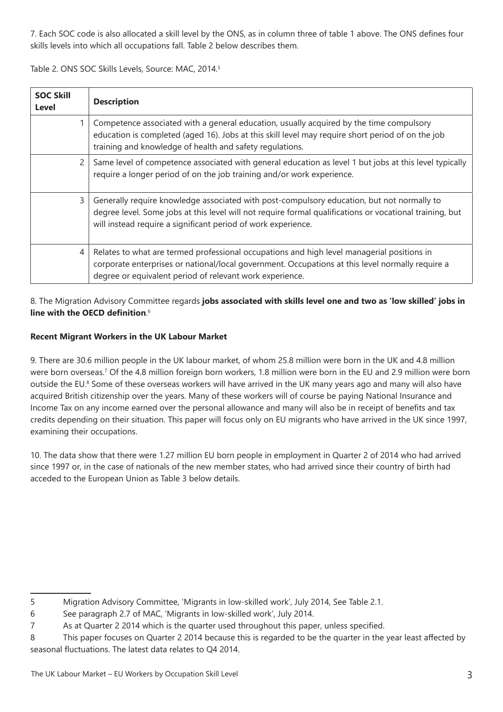7. Each SOC code is also allocated a skill level by the ONS, as in column three of table 1 above. The ONS defines four skills levels into which all occupations fall. Table 2 below describes them.

Table 2. ONS SOC Skills Levels, Source: MAC, 2014.<sup>5</sup>

| <b>SOC Skill</b><br>Level | <b>Description</b>                                                                                                                                                                                                                                                      |
|---------------------------|-------------------------------------------------------------------------------------------------------------------------------------------------------------------------------------------------------------------------------------------------------------------------|
|                           | Competence associated with a general education, usually acquired by the time compulsory<br>education is completed (aged 16). Jobs at this skill level may require short period of on the job<br>training and knowledge of health and safety regulations.                |
| $\mathbf{2}$              | Same level of competence associated with general education as level 1 but jobs at this level typically<br>require a longer period of on the job training and/or work experience.                                                                                        |
| 3                         | Generally require knowledge associated with post-compulsory education, but not normally to<br>degree level. Some jobs at this level will not require formal qualifications or vocational training, but<br>will instead require a significant period of work experience. |
| 4                         | Relates to what are termed professional occupations and high level managerial positions in<br>corporate enterprises or national/local government. Occupations at this level normally require a<br>degree or equivalent period of relevant work experience.              |

8. The Migration Advisory Committee regards **jobs associated with skills level one and two as 'low skilled' jobs in line with the OECD definition**. 6

# **Recent Migrant Workers in the UK Labour Market**

9. There are 30.6 million people in the UK labour market, of whom 25.8 million were born in the UK and 4.8 million were born overseas.7 Of the 4.8 million foreign born workers, 1.8 million were born in the EU and 2.9 million were born outside the EU.<sup>8</sup> Some of these overseas workers will have arrived in the UK many years ago and many will also have acquired British citizenship over the years. Many of these workers will of course be paying National Insurance and Income Tax on any income earned over the personal allowance and many will also be in receipt of benefits and tax credits depending on their situation. This paper will focus only on EU migrants who have arrived in the UK since 1997, examining their occupations.

10. The data show that there were 1.27 million EU born people in employment in Quarter 2 of 2014 who had arrived since 1997 or, in the case of nationals of the new member states, who had arrived since their country of birth had acceded to the European Union as Table 3 below details.

<sup>5</sup> Migration Advisory Committee, 'Migrants in low-skilled work', July 2014, See Table 2.1.

<sup>6</sup> See paragraph 2.7 of MAC, 'Migrants in low-skilled work', July 2014.

<sup>7</sup> As at Quarter 2 2014 which is the quarter used throughout this paper, unless specified.

<sup>8</sup> This paper focuses on Quarter 2 2014 because this is regarded to be the quarter in the year least affected by seasonal fluctuations. The latest data relates to Q4 2014.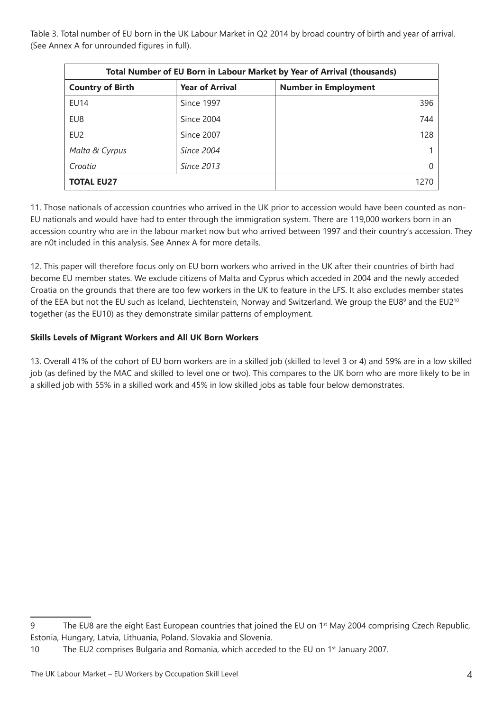Table 3. Total number of EU born in the UK Labour Market in Q2 2014 by broad country of birth and year of arrival. (See Annex A for unrounded figures in full).

| Total Number of EU Born in Labour Market by Year of Arrival (thousands) |                        |                             |  |  |
|-------------------------------------------------------------------------|------------------------|-----------------------------|--|--|
| <b>Country of Birth</b>                                                 | <b>Year of Arrival</b> | <b>Number in Employment</b> |  |  |
| <b>EU14</b>                                                             | Since 1997             | 396                         |  |  |
| EU8                                                                     | Since 2004             | 744                         |  |  |
| EU <sub>2</sub>                                                         | Since 2007             | 128                         |  |  |
| Malta & Cyrpus                                                          | Since 2004             |                             |  |  |
| Croatia                                                                 | Since 2013             |                             |  |  |
| <b>TOTAL EU27</b>                                                       |                        | 1270                        |  |  |

11. Those nationals of accession countries who arrived in the UK prior to accession would have been counted as non-EU nationals and would have had to enter through the immigration system. There are 119,000 workers born in an accession country who are in the labour market now but who arrived between 1997 and their country's accession. They are n0t included in this analysis. See Annex A for more details.

12. This paper will therefore focus only on EU born workers who arrived in the UK after their countries of birth had become EU member states. We exclude citizens of Malta and Cyprus which acceded in 2004 and the newly acceded Croatia on the grounds that there are too few workers in the UK to feature in the LFS. It also excludes member states of the EEA but not the EU such as Iceland, Liechtenstein, Norway and Switzerland. We group the EU8<sup>9</sup> and the EU2<sup>10</sup> together (as the EU10) as they demonstrate similar patterns of employment.

## **Skills Levels of Migrant Workers and All UK Born Workers**

13. Overall 41% of the cohort of EU born workers are in a skilled job (skilled to level 3 or 4) and 59% are in a low skilled job (as defined by the MAC and skilled to level one or two). This compares to the UK born who are more likely to be in a skilled job with 55% in a skilled work and 45% in low skilled jobs as table four below demonstrates.

<sup>9</sup> The EU8 are the eight East European countries that joined the EU on 1<sup>st</sup> May 2004 comprising Czech Republic, Estonia, Hungary, Latvia, Lithuania, Poland, Slovakia and Slovenia.

<sup>10</sup> The EU2 comprises Bulgaria and Romania, which acceded to the EU on 1<sup>st</sup> January 2007.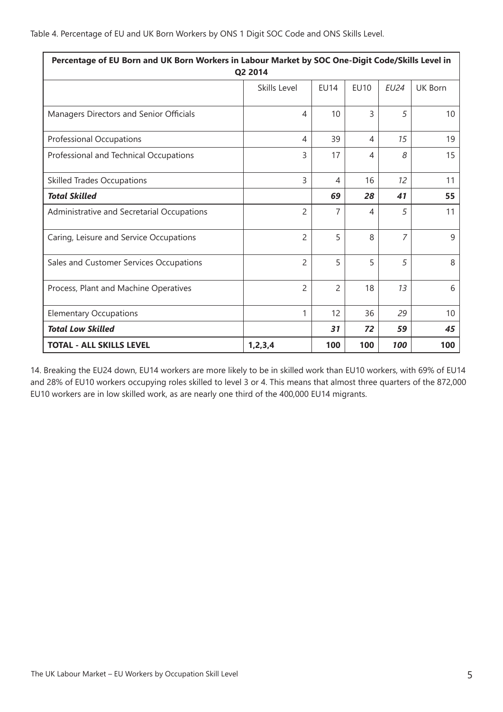| Percentage of EU Born and UK Born Workers in Labour Market by SOC One-Digit Code/Skills Level in<br>Q2 2014 |                          |                |                |                |                |
|-------------------------------------------------------------------------------------------------------------|--------------------------|----------------|----------------|----------------|----------------|
|                                                                                                             | Skills Level             | <b>FU14</b>    | <b>FU10</b>    | <b>EU24</b>    | <b>UK Born</b> |
| Managers Directors and Senior Officials                                                                     | 4                        | 10             | $\overline{3}$ | 5              | 10             |
| Professional Occupations                                                                                    | 4                        | 39             | 4              | 15             | 19             |
| Professional and Technical Occupations                                                                      | 3                        | 17             | 4              | 8              | 15             |
| <b>Skilled Trades Occupations</b>                                                                           | 3                        | 4              | 16             | 12             | 11             |
| <b>Total Skilled</b>                                                                                        |                          | 69             | 28             | 41             | 55             |
| Administrative and Secretarial Occupations                                                                  | 2                        | 7              | 4              | 5              | 11             |
| Caring, Leisure and Service Occupations                                                                     | $\overline{2}$           | 5              | 8              | $\overline{7}$ | 9              |
| Sales and Customer Services Occupations                                                                     | $\overline{\phantom{a}}$ | 5              | 5              | 5              | 8              |
| Process, Plant and Machine Operatives                                                                       | $\overline{2}$           | $\overline{2}$ | 18             | 13             | 6              |
| <b>Elementary Occupations</b>                                                                               | 1                        | 12             | 36             | 29             | 10             |
| <b>Total Low Skilled</b>                                                                                    |                          | 31             | 72             | 59             | 45             |
| <b>TOTAL - ALL SKILLS LEVEL</b><br>1, 2, 3, 4<br>100<br>100<br>100<br>100                                   |                          |                |                |                |                |

14. Breaking the EU24 down, EU14 workers are more likely to be in skilled work than EU10 workers, with 69% of EU14 and 28% of EU10 workers occupying roles skilled to level 3 or 4. This means that almost three quarters of the 872,000 EU10 workers are in low skilled work, as are nearly one third of the 400,000 EU14 migrants.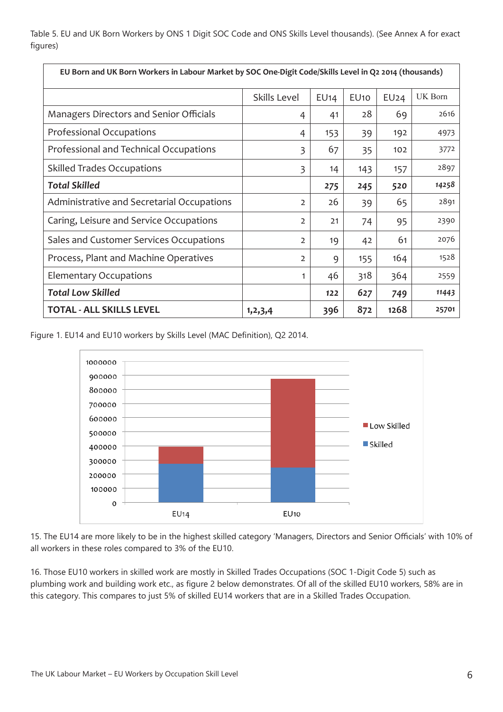Table 5. EU and UK Born Workers by ONS 1 Digit SOC Code and ONS Skills Level thousands). (See Annex A for exact figures)

| EU Born and UK Born Workers in Labour Market by SOC One-Digit Code/Skills Level in Q2 2014 (thousands) |                |      |                  |      |         |
|--------------------------------------------------------------------------------------------------------|----------------|------|------------------|------|---------|
|                                                                                                        | Skills Level   | EU14 | EU <sub>10</sub> | EU24 | UK Born |
| Managers Directors and Senior Officials                                                                | 4              | 41   | 28               | 69   | 2616    |
| Professional Occupations                                                                               | 4              | 153  | 39               | 192  | 4973    |
| Professional and Technical Occupations                                                                 | $\overline{3}$ | 67   | 35               | 102  | 3772    |
| <b>Skilled Trades Occupations</b>                                                                      | 3              | 14   | 143              | 157  | 2897    |
| <b>Total Skilled</b>                                                                                   |                | 275  | 245              | 520  | 14258   |
| Administrative and Secretarial Occupations                                                             | $\overline{2}$ | 26   | 39               | 65   | 2891    |
| Caring, Leisure and Service Occupations                                                                | $\overline{2}$ | 21   | 74               | 95   | 2390    |
| Sales and Customer Services Occupations                                                                | $\overline{2}$ | 19   | 42               | 61   | 2076    |
| Process, Plant and Machine Operatives                                                                  | $\overline{2}$ | 9    | 155              | 164  | 1528    |
| <b>Elementary Occupations</b>                                                                          |                | 46   | 318              | 364  | 2559    |
| <b>Total Low Skilled</b>                                                                               |                | 122  | 627              | 749  | 11443   |
| <b>TOTAL - ALL SKILLS LEVEL</b>                                                                        | 1, 2, 3, 4     | 396  | 872              | 1268 | 25701   |

Figure 1. EU14 and EU10 workers by Skills Level (MAC Definition), Q2 2014.



15. The EU14 are more likely to be in the highest skilled category 'Managers, Directors and Senior Officials' with 10% of all workers in these roles compared to 3% of the EU10.

16. Those EU10 workers in skilled work are mostly in Skilled Trades Occupations (SOC 1-Digit Code 5) such as plumbing work and building work etc., as figure 2 below demonstrates. Of all of the skilled EU10 workers, 58% are in this category. This compares to just 5% of skilled EU14 workers that are in a Skilled Trades Occupation.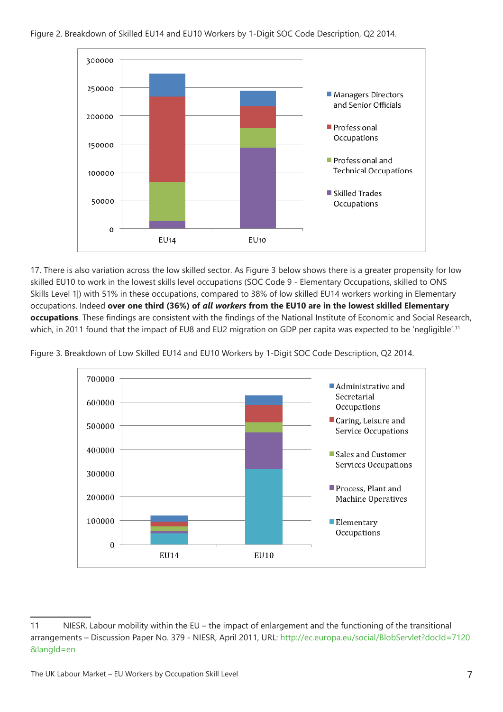

17. There is also variation across the low skilled sector. As Figure 3 below shows there is a greater propensity for low skilled EU10 to work in the lowest skills level occupations (SOC Code 9 - Elementary Occupations, skilled to ONS Skills Level 1) with 51% in these occupations, compared to 38% of low skilled EU14 workers working in Elementary occupations. Indeed **over one third (36%) of** *all workers* **from the EU10 are in the lowest skilled Elementary occupations**. These findings are consistent with the findings of the National Institute of Economic and Social Research, which, in 2011 found that the impact of EU8 and EU2 migration on GDP per capita was expected to be 'negligible'.<sup>11</sup>



Figure 3. Breakdown of Low Skilled EU14 and EU10 Workers by 1-Digit SOC Code Description, Q2 2014.

<sup>11</sup> NIESR, Labour mobility within the EU – the impact of enlargement and the functioning of the transitional arrangements – Discussion Paper No. 379 - NIESR, April 2011, URL: http://ec.europa.eu/social/BlobServlet?docId=7120 &langId=en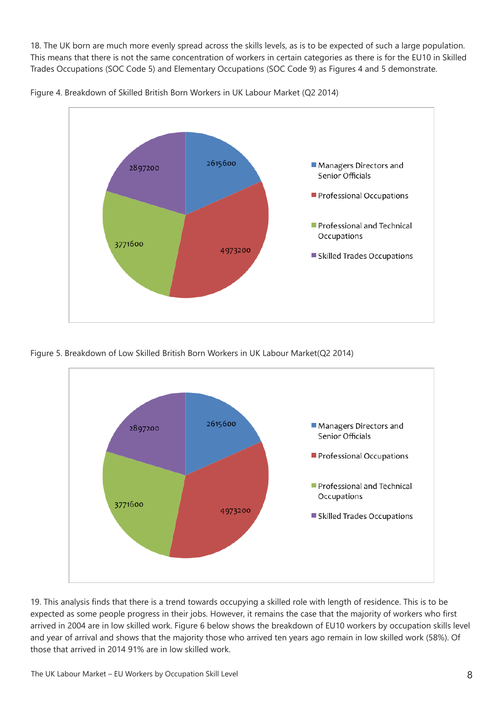18. The UK born are much more evenly spread across the skills levels, as is to be expected of such a large population. This means that there is not the same concentration of workers in certain categories as there is for the EU10 in Skilled Trades Occupations (SOC Code 5) and Elementary Occupations (SOC Code 9) as Figures 4 and 5 demonstrate.



Figure 4. Breakdown of Skilled British Born Workers in UK Labour Market (Q2 2014)

Figure 5. Breakdown of Low Skilled British Born Workers in UK Labour Market(Q2 2014)



19. This analysis finds that there is a trend towards occupying a skilled role with length of residence. This is to be expected as some people progress in their jobs. However, it remains the case that the majority of workers who first arrived in 2004 are in low skilled work. Figure 6 below shows the breakdown of EU10 workers by occupation skills level and year of arrival and shows that the majority those who arrived ten years ago remain in low skilled work (58%). Of those that arrived in 2014 91% are in low skilled work.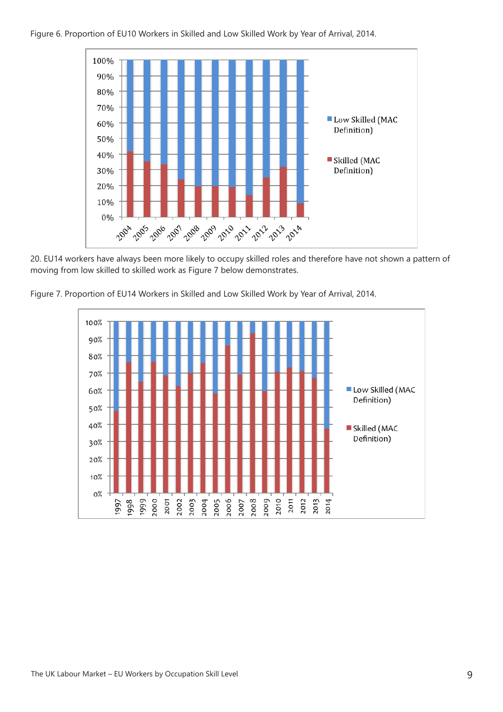

20. EU14 workers have always been more likely to occupy skilled roles and therefore have not shown a pattern of moving from low skilled to skilled work as Figure 7 below demonstrates.



Figure 7. Proportion of EU14 Workers in Skilled and Low Skilled Work by Year of Arrival, 2014.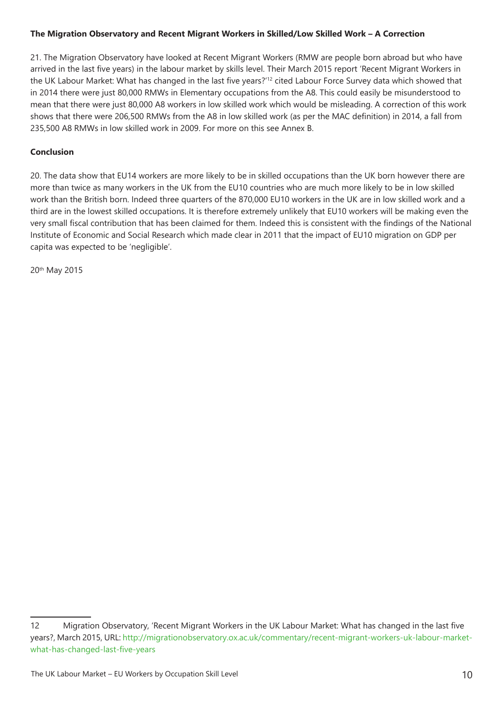#### **The Migration Observatory and Recent Migrant Workers in Skilled/Low Skilled Work – A Correction**

21. The Migration Observatory have looked at Recent Migrant Workers (RMW are people born abroad but who have arrived in the last five years) in the labour market by skills level. Their March 2015 report 'Recent Migrant Workers in the UK Labour Market: What has changed in the last five years?'12 cited Labour Force Survey data which showed that in 2014 there were just 80,000 RMWs in Elementary occupations from the A8. This could easily be misunderstood to mean that there were just 80,000 A8 workers in low skilled work which would be misleading. A correction of this work shows that there were 206,500 RMWs from the A8 in low skilled work (as per the MAC definition) in 2014, a fall from 235,500 A8 RMWs in low skilled work in 2009. For more on this see Annex B.

#### **Conclusion**

20. The data show that EU14 workers are more likely to be in skilled occupations than the UK born however there are more than twice as many workers in the UK from the EU10 countries who are much more likely to be in low skilled work than the British born. Indeed three quarters of the 870,000 EU10 workers in the UK are in low skilled work and a third are in the lowest skilled occupations. It is therefore extremely unlikely that EU10 workers will be making even the very small fiscal contribution that has been claimed for them. Indeed this is consistent with the findings of the National Institute of Economic and Social Research which made clear in 2011 that the impact of EU10 migration on GDP per capita was expected to be 'negligible'.

20th May 2015

<sup>12</sup> Migration Observatory, 'Recent Migrant Workers in the UK Labour Market: What has changed in the last five years?, March 2015, URL: http://migrationobservatory.ox.ac.uk/commentary/recent-migrant-workers-uk-labour-marketwhat-has-changed-last-five-years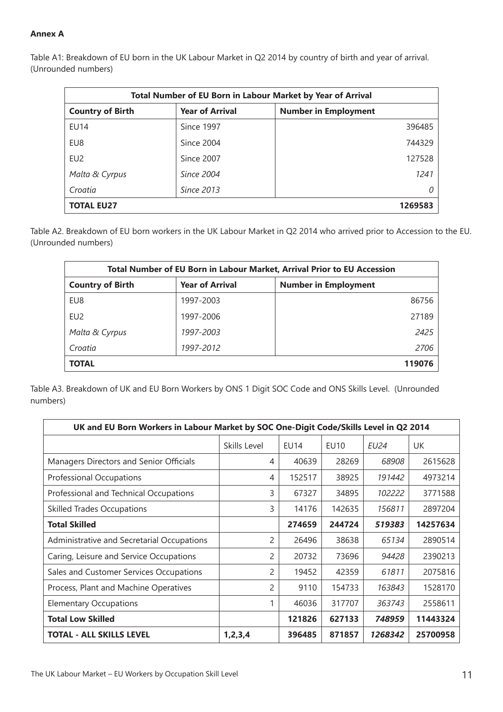#### **Annex A**

| <b>Total Number of EU Born in Labour Market by Year of Arrival</b>               |            |        |  |  |
|----------------------------------------------------------------------------------|------------|--------|--|--|
| <b>Year of Arrival</b><br><b>Number in Employment</b><br><b>Country of Birth</b> |            |        |  |  |
| EU14                                                                             | Since 1997 | 396485 |  |  |
| EU8                                                                              | Since 2004 | 744329 |  |  |
| EU <sub>2</sub>                                                                  | Since 2007 | 127528 |  |  |
| Malta & Cyrpus                                                                   | Since 2004 | 1241   |  |  |
| Croatia                                                                          | Since 2013 | 0      |  |  |
| <b>TOTAL EU27</b><br>1269583                                                     |            |        |  |  |

Table A1: Breakdown of EU born in the UK Labour Market in Q2 2014 by country of birth and year of arrival. (Unrounded numbers)

Table A2. Breakdown of EU born workers in the UK Labour Market in Q2 2014 who arrived prior to Accession to the EU. (Unrounded numbers)

| Total Number of EU Born in Labour Market, Arrival Prior to EU Accession          |           |       |  |  |
|----------------------------------------------------------------------------------|-----------|-------|--|--|
| <b>Year of Arrival</b><br><b>Country of Birth</b><br><b>Number in Employment</b> |           |       |  |  |
| EU8                                                                              | 1997-2003 | 86756 |  |  |
| EU <sub>2</sub>                                                                  | 1997-2006 | 27189 |  |  |
| Malta & Cyrpus                                                                   | 1997-2003 | 2425  |  |  |
| Croatia                                                                          | 1997-2012 | 2706  |  |  |
| <b>TOTAL</b><br>119076                                                           |           |       |  |  |

Table A3. Breakdown of UK and EU Born Workers by ONS 1 Digit SOC Code and ONS Skills Level. (Unrounded numbers)

| UK and EU Born Workers in Labour Market by SOC One-Digit Code/Skills Level in Q2 2014 |              |             |        |             |          |
|---------------------------------------------------------------------------------------|--------------|-------------|--------|-------------|----------|
|                                                                                       | Skills Level | <b>EU14</b> | EU10   | <b>EU24</b> | UK       |
| Managers Directors and Senior Officials                                               | 4            | 40639       | 28269  | 68908       | 2615628  |
| Professional Occupations                                                              | 4            | 152517      | 38925  | 191442      | 4973214  |
| Professional and Technical Occupations                                                | 3            | 67327       | 34895  | 102222      | 3771588  |
| <b>Skilled Trades Occupations</b>                                                     | 3            | 14176       | 142635 | 156811      | 2897204  |
| <b>Total Skilled</b>                                                                  |              | 274659      | 244724 | 519383      | 14257634 |
| Administrative and Secretarial Occupations                                            | 2            | 26496       | 38638  | 65134       | 2890514  |
| Caring, Leisure and Service Occupations                                               | 2            | 20732       | 73696  | 94428       | 2390213  |
| Sales and Customer Services Occupations                                               | 2            | 19452       | 42359  | 61811       | 2075816  |
| Process, Plant and Machine Operatives                                                 | 2            | 9110        | 154733 | 163843      | 1528170  |
| <b>Elementary Occupations</b>                                                         | 1            | 46036       | 317707 | 363743      | 2558611  |
| <b>Total Low Skilled</b>                                                              |              | 121826      | 627133 | 748959      | 11443324 |
| <b>TOTAL - ALL SKILLS LEVEL</b>                                                       | 1, 2, 3, 4   | 396485      | 871857 | 1268342     | 25700958 |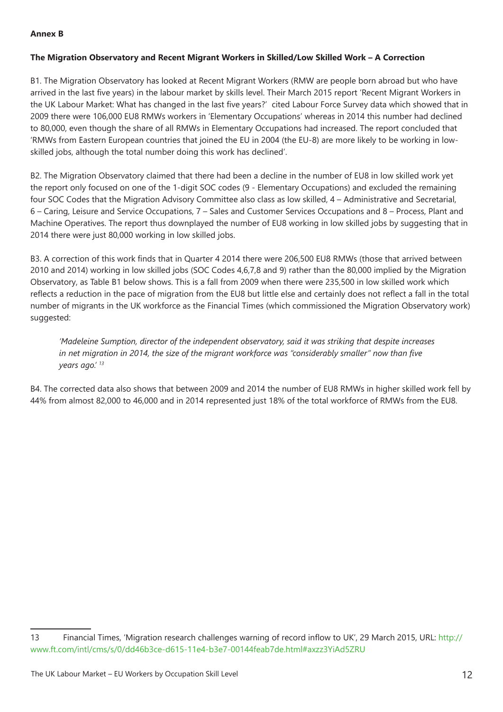#### **Annex B**

#### **The Migration Observatory and Recent Migrant Workers in Skilled/Low Skilled Work – A Correction**

B1. The Migration Observatory has looked at Recent Migrant Workers (RMW are people born abroad but who have arrived in the last five years) in the labour market by skills level. Their March 2015 report 'Recent Migrant Workers in the UK Labour Market: What has changed in the last five years?' cited Labour Force Survey data which showed that in 2009 there were 106,000 EU8 RMWs workers in 'Elementary Occupations' whereas in 2014 this number had declined to 80,000, even though the share of all RMWs in Elementary Occupations had increased. The report concluded that 'RMWs from Eastern European countries that joined the EU in 2004 (the EU-8) are more likely to be working in lowskilled jobs, although the total number doing this work has declined'.

B2. The Migration Observatory claimed that there had been a decline in the number of EU8 in low skilled work yet the report only focused on one of the 1-digit SOC codes (9 - Elementary Occupations) and excluded the remaining four SOC Codes that the Migration Advisory Committee also class as low skilled, 4 – Administrative and Secretarial, 6 – Caring, Leisure and Service Occupations, 7 – Sales and Customer Services Occupations and 8 – Process, Plant and Machine Operatives. The report thus downplayed the number of EU8 working in low skilled jobs by suggesting that in 2014 there were just 80,000 working in low skilled jobs.

B3. A correction of this work finds that in Quarter 4 2014 there were 206,500 EU8 RMWs (those that arrived between 2010 and 2014) working in low skilled jobs (SOC Codes 4,6,7,8 and 9) rather than the 80,000 implied by the Migration Observatory, as Table B1 below shows. This is a fall from 2009 when there were 235,500 in low skilled work which reflects a reduction in the pace of migration from the EU8 but little else and certainly does not reflect a fall in the total number of migrants in the UK workforce as the Financial Times (which commissioned the Migration Observatory work) suggested:

*'Madeleine Sumption, director of the independent observatory, said it was striking that despite increases in net migration in 2014, the size of the migrant workforce was "considerably smaller" now than five years ago.' 13*

B4. The corrected data also shows that between 2009 and 2014 the number of EU8 RMWs in higher skilled work fell by 44% from almost 82,000 to 46,000 and in 2014 represented just 18% of the total workforce of RMWs from the EU8.

<sup>13</sup> Financial Times, 'Migration research challenges warning of record inflow to UK', 29 March 2015, URL: http:// www.ft.com/intl/cms/s/0/dd46b3ce-d615-11e4-b3e7-00144feab7de.html#axzz3YiAd5ZRU